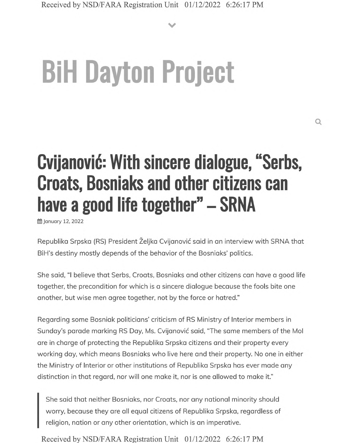**V**

# **BiH Dayton Project**

## **Cvijanovic: With sincere dialogue, "Serbs, Croats, Bosniaks and other citizens can have <sup>a</sup> good life together" - SRNA**

**曲 January 12, 2022** 

Republika Srpska (RS) President Željka Cvijanović said in an interview with SRNA that BiH's destiny mostly depends of the behavior of the Bosniaks' politics.

She said, "I believe that Serbs, Croats, Bosniaks and other citizens can have <sup>a</sup> good life together, the precondition for which is a sincere dialogue because the fools bite one another, but wise men agree together, not by the force or hatred."

Regarding some Bosniak politicians' criticism of RS Ministry of Interior members in Sunday's parade marking RS Day, Ms. Cvijanović said, "The same members of the Mol are in charge of protecting the Republika Srpska citizens and their property every working day, which means Bosniaks who live here and their property. No one in either the Ministry of Interior or other institutions of Republika Srpska has ever made any distinction in that regard, nor will one make it, nor is one allowed to make it."

She said that neither Bosniaks, nor Croats, nor any national minority should worry, because they are all equal citizens of Republika Srpska, regardless of religion, nation or any other orientation, which is an imperative.

Received by NSD/FARA Registration Unit 01/12/2022 6:26:17 PM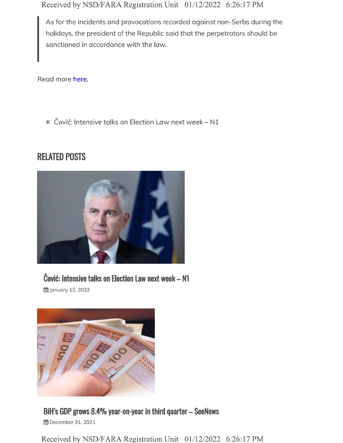Received by NSD/FARA Registration Unit 01/12/2022 6:26:17 PM

As for the incidents and provocations recorded against non-Serbs during the holidays, the president of the Republic said that the perpetrators should be sanctioned in accordance with the law.

Read more here.

« Čović: Intensive talks on Election Law next week - N1

#### **RELATED POSTS**



### **Covifr Intensive talks on Election Law next week - N1**

**曲 January 12, 2022** 



**BiH's GDP grows 8.4% year-on-year in third quarter - SeeNews 曲** December 31, 2021

Received by NSD/FARA Registration Unit 01/12/2022 6:26:17 PM